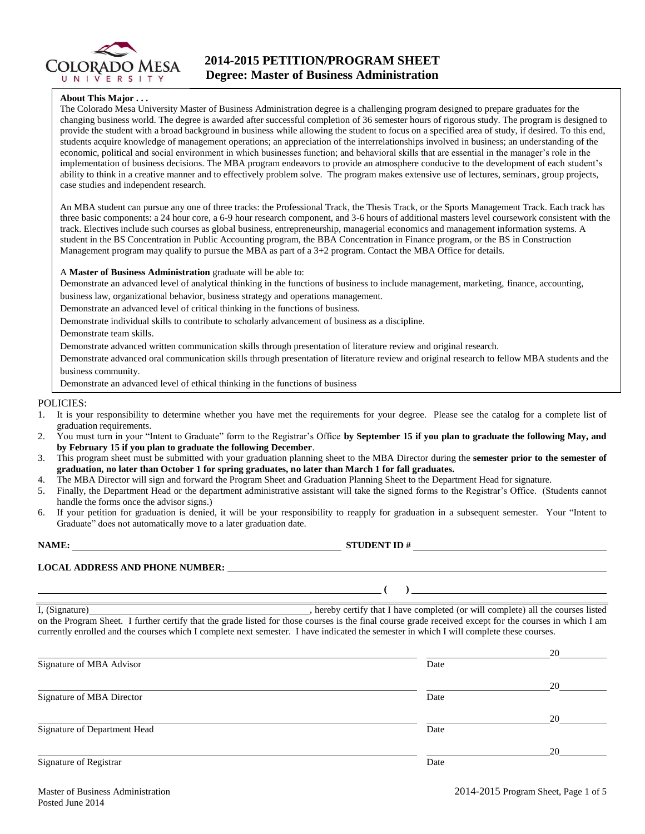

## **2014-2015 PETITION/PROGRAM SHEET Degree: Master of Business Administration**

#### **About This Major . . .**

The Colorado Mesa University Master of Business Administration degree is a challenging program designed to prepare graduates for the changing business world. The degree is awarded after successful completion of 36 semester hours of rigorous study. The program is designed to provide the student with a broad background in business while allowing the student to focus on a specified area of study, if desired. To this end, students acquire knowledge of management operations; an appreciation of the interrelationships involved in business; an understanding of the economic, political and social environment in which businesses function; and behavioral skills that are essential in the manager's role in the implementation of business decisions. The MBA program endeavors to provide an atmosphere conducive to the development of each student's ability to think in a creative manner and to effectively problem solve. The program makes extensive use of lectures, seminars, group projects, case studies and independent research.

An MBA student can pursue any one of three tracks: the Professional Track, the Thesis Track, or the Sports Management Track. Each track has three basic components: a 24 hour core, a 6-9 hour research component, and 3-6 hours of additional masters level coursework consistent with the track. Electives include such courses as global business, entrepreneurship, managerial economics and management information systems. A student in the BS Concentration in Public Accounting program, the BBA Concentration in Finance program, or the BS in Construction Management program may qualify to pursue the MBA as part of a 3+2 program. Contact the MBA Office for details.

#### A **Master of Business Administration** graduate will be able to:

Demonstrate an advanced level of analytical thinking in the functions of business to include management, marketing, finance, accounting,

business law, organizational behavior, business strategy and operations management.

Demonstrate an advanced level of critical thinking in the functions of business.

Demonstrate individual skills to contribute to scholarly advancement of business as a discipline.

Demonstrate team skills.

Demonstrate advanced written communication skills through presentation of literature review and original research.

Demonstrate advanced oral communication skills through presentation of literature review and original research to fellow MBA students and the business community.

Demonstrate an advanced level of ethical thinking in the functions of business

#### POLICIES:

- 1. It is your responsibility to determine whether you have met the requirements for your degree. Please see the catalog for a complete list of graduation requirements.
- 2. You must turn in your "Intent to Graduate" form to the Registrar's Office **by September 15 if you plan to graduate the following May, and by February 15 if you plan to graduate the following December**.
- 3. This program sheet must be submitted with your graduation planning sheet to the MBA Director during the **semester prior to the semester of graduation, no later than October 1 for spring graduates, no later than March 1 for fall graduates.**
- 4. The MBA Director will sign and forward the Program Sheet and Graduation Planning Sheet to the Department Head for signature.
- 5. Finally, the Department Head or the department administrative assistant will take the signed forms to the Registrar's Office. (Students cannot handle the forms once the advisor signs.)
- 6. If your petition for graduation is denied, it will be your responsibility to reapply for graduation in a subsequent semester. Your "Intent to Graduate" does not automatically move to a later graduation date.

| <b>NAME:</b> | $\overline{\phantom{a}}$<br><b>STUDENT ID#</b> |
|--------------|------------------------------------------------|
|              |                                                |

 $($   $)$   $=$ 

**LOCAL ADDRESS AND PHONE NUMBER:**

I, (Signature) , hereby certify that I have completed (or will complete) all the courses listed on the Program Sheet. I further certify that the grade listed for those courses is the final course grade received except for the courses in which I am currently enrolled and the courses which I complete next semester. I have indicated the semester in which I will complete these courses.

|                              |      | 20 |
|------------------------------|------|----|
| Signature of MBA Advisor     | Date |    |
|                              |      | 20 |
| Signature of MBA Director    | Date |    |
|                              |      | 20 |
| Signature of Department Head | Date |    |
|                              |      | 20 |
| Signature of Registrar       | Date |    |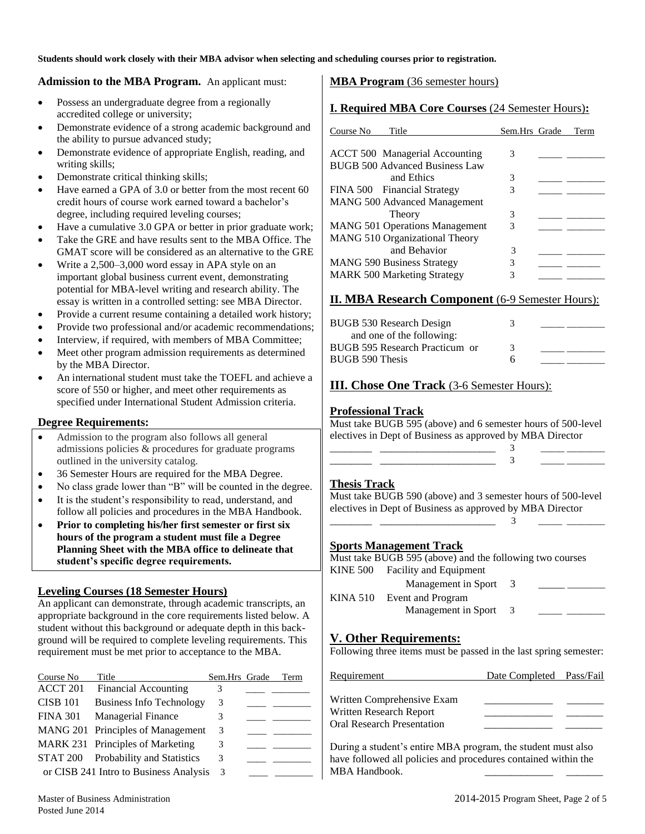**Students should work closely with their MBA advisor when selecting and scheduling courses prior to registration.** 

#### **Admission to the MBA Program.** An applicant must:

- Possess an undergraduate degree from a regionally accredited college or university;
- Demonstrate evidence of a strong academic background and the ability to pursue advanced study;
- Demonstrate evidence of appropriate English, reading, and writing skills;
- Demonstrate critical thinking skills;
- Have earned a GPA of 3.0 or better from the most recent 60 credit hours of course work earned toward a bachelor's degree, including required leveling courses;
- Have a cumulative 3.0 GPA or better in prior graduate work;
- Take the GRE and have results sent to the MBA Office. The GMAT score will be considered as an alternative to the GRE
- Write a 2,500–3,000 word essay in APA style on an important global business current event, demonstrating potential for MBA-level writing and research ability. The essay is written in a controlled setting: see MBA Director.
- Provide a current resume containing a detailed work history;
- Provide two professional and/or academic recommendations;
- Interview, if required, with members of MBA Committee;
- Meet other program admission requirements as determined by the MBA Director.
- An international student must take the TOEFL and achieve a score of 550 or higher, and meet other requirements as specified under International Student Admission criteria.

#### **Degree Requirements:**

- Admission to the program also follows all general admissions policies & procedures for graduate programs outlined in the university catalog.
- 36 Semester Hours are required for the MBA Degree.
- No class grade lower than "B" will be counted in the degree.
- It is the student's responsibility to read, understand, and follow all policies and procedures in the MBA Handbook.
- **Prior to completing his/her first semester or first six hours of the program a student must file a Degree Planning Sheet with the MBA office to delineate that student's specific degree requirements.**

#### **Leveling Courses (18 Semester Hours)**

An applicant can demonstrate, through academic transcripts, an appropriate background in the core requirements listed below. A student without this background or adequate depth in this background will be required to complete leveling requirements. This requirement must be met prior to acceptance to the MBA.

| Course No       | Title                                  | Sem.Hrs Grade | Term |
|-----------------|----------------------------------------|---------------|------|
| ACCT 201        | <b>Financial Accounting</b>            | 3             |      |
| <b>CISB 101</b> | <b>Business Info Technology</b>        | 3             |      |
| <b>FINA 301</b> | <b>Managerial Finance</b>              | 3             |      |
|                 | MANG 201 Principles of Management      | 3             |      |
|                 | MARK 231 Principles of Marketing       | 3             |      |
| STAT 200        | <b>Probability and Statistics</b>      | 3             |      |
|                 | or CISB 241 Intro to Business Analysis | 3             |      |

## **MBA Program** (36 semester hours)

### **I. Required MBA Core Courses** (24 Semester Hours)**:**

| Course No<br>Title                                                      | Sem.Hrs Grade | Term |
|-------------------------------------------------------------------------|---------------|------|
| <b>ACCT 500 Managerial Accounting</b><br>BUGB 500 Advanced Business Law | 3             |      |
| and Ethics                                                              | 3             |      |
| FINA 500 Financial Strategy                                             | 3             |      |
| <b>MANG 500 Advanced Management</b>                                     |               |      |
| Theory                                                                  | 3             |      |
| <b>MANG 501 Operations Management</b>                                   | 3             |      |
| MANG 510 Organizational Theory                                          |               |      |
| and Behavior                                                            | 3             |      |
| <b>MANG 590 Business Strategy</b>                                       | 3             |      |
| <b>MARK 500 Marketing Strategy</b>                                      | 3             |      |

### **II. MBA Research Component** (6-9 Semester Hours):

| BUGB 530 Research Design       | 3 |  |
|--------------------------------|---|--|
| and one of the following:      |   |  |
| BUGB 595 Research Practicum or |   |  |
| BUGB 590 Thesis                | h |  |

### **III. Chose One Track** (3-6 Semester Hours):

### **Professional Track**

Must take BUGB 595 (above) and 6 semester hours of 500-level electives in Dept of Business as approved by MBA Director

| _____ |  |
|-------|--|
|       |  |

#### **Thesis Track**

Must take BUGB 590 (above) and 3 semester hours of 500-level electives in Dept of Business as approved by MBA Director \_\_\_\_\_\_\_\_ \_\_\_\_\_\_\_\_\_\_\_\_\_\_\_\_\_\_\_\_\_\_ 3 \_\_\_\_\_ \_\_\_\_\_\_\_\_

#### **Sports Management Track**

Must take BUGB 595 (above) and the following two courses KINE 500 Facility and Equipment

| Management in Sport        |  |
|----------------------------|--|
| KINA 510 Event and Program |  |
| Management in Sport        |  |

# **V. Other Requirements:**

Following three items must be passed in the last spring semester:

| Requirement                       | Date Completed Pass/Fail |  |
|-----------------------------------|--------------------------|--|
| Written Comprehensive Exam        |                          |  |
| Written Research Report           |                          |  |
| <b>Oral Research Presentation</b> |                          |  |

During a student's entire MBA program, the student must also have followed all policies and procedures contained within the MBA Handbook.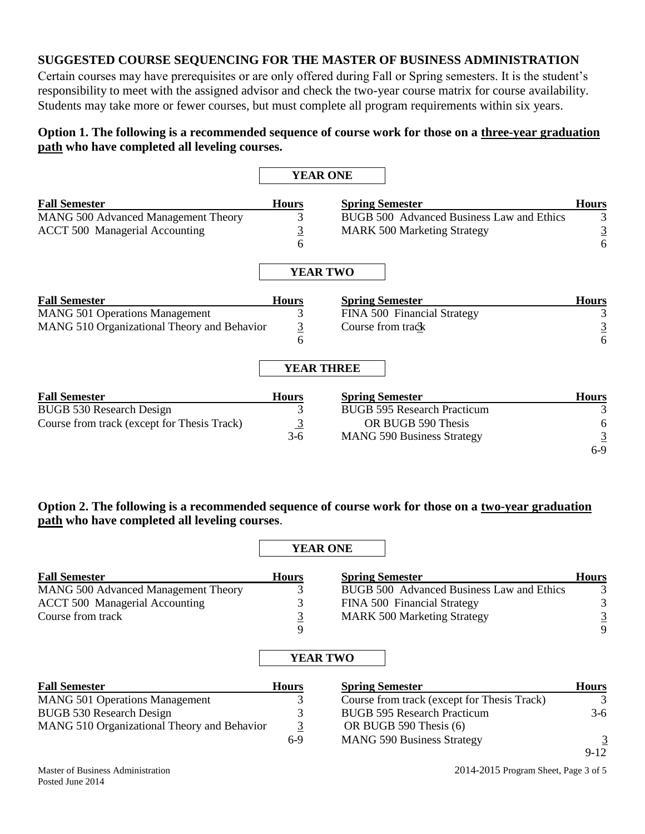## **SUGGESTED COURSE SEQUENCING FOR THE MASTER OF BUSINESS ADMINISTRATION**

Certain courses may have prerequisites or are only offered during Fall or Spring semesters. It is the student's responsibility to meet with the assigned advisor and check the two-year course matrix for course availability. Students may take more or fewer courses, but must complete all program requirements within six years.

# **Option 1. The following is a recommended sequence of course work for those on a three-year graduation path who have completed all leveling courses.**

|                                             |                 | <b>YEAR ONE</b>                           |                |
|---------------------------------------------|-----------------|-------------------------------------------|----------------|
| <b>Fall Semester</b>                        | <b>Hours</b>    | <b>Spring Semester</b>                    | <b>Hours</b>   |
| <b>MANG 500 Advanced Management Theory</b>  | 3               | BUGB 500 Advanced Business Law and Ethics | 3              |
| <b>ACCT 500 Managerial Accounting</b>       | $\overline{3}$  | <b>MARK 500 Marketing Strategy</b>        | $\overline{3}$ |
|                                             | 6               |                                           | 6              |
|                                             |                 | <b>YEAR TWO</b>                           |                |
| <b>Fall Semester</b>                        | <b>Hours</b>    | <b>Spring Semester</b>                    | <b>Hours</b>   |
| <b>MANG 501 Operations Management</b>       | 3               | FINA 500 Financial Strategy               |                |
| MANG 510 Organizational Theory and Behavior | $\overline{3}$  | Course from track                         | $\overline{3}$ |
|                                             | 6               |                                           | 6              |
|                                             |                 | <b>YEAR THREE</b>                         |                |
| <b>Fall Semester</b>                        | <b>Hours</b>    | <b>Spring Semester</b>                    | <b>Hours</b>   |
| <b>BUGB 530 Research Design</b>             | 3               | <b>BUGB 595 Research Practicum</b>        |                |
| Course from track (except for Thesis Track) | $\frac{3}{3-6}$ | OR BUGB 590 Thesis                        | h              |
|                                             |                 | <b>MANG 590 Business Strategy</b>         |                |
|                                             |                 |                                           | $6-9$          |

## **Option 2. The following is a recommended sequence of course work for those on a two-year graduation path who have completed all leveling courses**.

|                                             |              | <b>YEAR ONE</b>                             |                |
|---------------------------------------------|--------------|---------------------------------------------|----------------|
| <b>Fall Semester</b>                        | <b>Hours</b> | <b>Spring Semester</b>                      | <b>Hours</b>   |
| <b>MANG 500 Advanced Management Theory</b>  | 3            | BUGB 500 Advanced Business Law and Ethics   | 3              |
| <b>ACCT 500 Managerial Accounting</b>       | 3            | FINA 500 Financial Strategy                 | 3              |
| Course from track                           | $rac{3}{9}$  | <b>MARK 500 Marketing Strategy</b>          | $\overline{3}$ |
|                                             |              |                                             | 9              |
|                                             |              | <b>YEAR TWO</b>                             |                |
| <b>Fall Semester</b>                        | <b>Hours</b> | <b>Spring Semester</b>                      | <b>Hours</b>   |
| <b>MANG 501 Operations Management</b>       | 3            | Course from track (except for Thesis Track) | 3              |
| <b>BUGB 530 Research Design</b>             | 3            | <b>BUGB 595 Research Practicum</b>          | $3-6$          |
| MANG 510 Organizational Theory and Behavior | 3            | OR BUGB 590 Thesis (6)                      |                |
|                                             | $6-9$        | <b>MANG 590 Business Strategy</b>           | $\overline{3}$ |
|                                             |              |                                             | $9-12$         |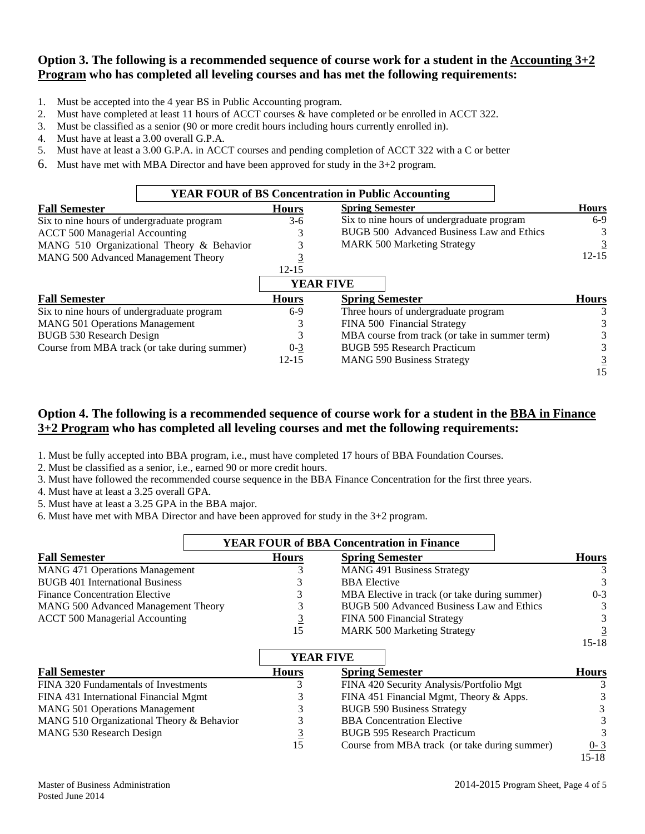## **Option 3. The following is a recommended sequence of course work for a student in the Accounting 3+2 Program who has completed all leveling courses and has met the following requirements:**

- 1. Must be accepted into the 4 year BS in Public Accounting program.
- 2. Must have completed at least 11 hours of ACCT courses & have completed or be enrolled in ACCT 322.
- 3. Must be classified as a senior (90 or more credit hours including hours currently enrolled in).
- 4. Must have at least a 3.00 overall G.P.A.
- 5. Must have at least a 3.00 G.P.A. in ACCT courses and pending completion of ACCT 322 with a C or better
- 6. Must have met with MBA Director and have been approved for study in the 3+2 program.

|                                            |                                               |              | <b>YEAR FOUR of BS Concentration in Public Accounting</b> |              |
|--------------------------------------------|-----------------------------------------------|--------------|-----------------------------------------------------------|--------------|
| <b>Fall Semester</b>                       |                                               | <b>Hours</b> | <b>Spring Semester</b>                                    | <b>Hours</b> |
| Six to nine hours of undergraduate program |                                               | $3-6$        | Six to nine hours of undergraduate program                | $6-9$        |
| <b>ACCT 500 Managerial Accounting</b>      |                                               |              | BUGB 500 Advanced Business Law and Ethics                 | 3            |
|                                            | MANG 510 Organizational Theory & Behavior     |              | <b>MARK 500 Marketing Strategy</b>                        |              |
| MANG 500 Advanced Management Theory        |                                               |              |                                                           | $12 - 15$    |
|                                            |                                               | $12 - 15$    |                                                           |              |
|                                            |                                               |              | <b>YEAR FIVE</b>                                          |              |
| <b>Fall Semester</b>                       |                                               | <b>Hours</b> | <b>Spring Semester</b>                                    | <b>Hours</b> |
| Six to nine hours of undergraduate program |                                               | $6-9$        | Three hours of undergraduate program                      |              |
| <b>MANG 501 Operations Management</b>      |                                               | 3            | FINA 500 Financial Strategy                               |              |
| <b>BUGB 530 Research Design</b>            |                                               | 3            | MBA course from track (or take in summer term)            |              |
|                                            | Course from MBA track (or take during summer) | $0 - 3$      | <b>BUGB 595 Research Practicum</b>                        |              |
|                                            |                                               | $12 - 15$    | <b>MANG 590 Business Strategy</b>                         |              |
|                                            |                                               |              |                                                           | 15           |

## **Option 4. The following is a recommended sequence of course work for a student in the BBA in Finance 3+2 Program who has completed all leveling courses and met the following requirements:**

1. Must be fully accepted into BBA program, i.e., must have completed 17 hours of BBA Foundation Courses.

2. Must be classified as a senior, i.e., earned 90 or more credit hours.

3. Must have followed the recommended course sequence in the BBA Finance Concentration for the first three years.

4. Must have at least a 3.25 overall GPA.

5. Must have at least a 3.25 GPA in the BBA major.

6. Must have met with MBA Director and have been approved for study in the 3+2 program.

|                                        |              | <b>YEAR FOUR of BBA Concentration in Finance</b> |                |
|----------------------------------------|--------------|--------------------------------------------------|----------------|
| <b>Fall Semester</b>                   | <b>Hours</b> | <b>Spring Semester</b>                           | <b>Hours</b>   |
| <b>MANG 471 Operations Management</b>  |              | <b>MANG 491 Business Strategy</b>                |                |
| <b>BUGB 401 International Business</b> |              | <b>BBA</b> Elective                              | $\mathcal{R}$  |
| <b>Finance Concentration Elective</b>  |              | MBA Elective in track (or take during summer)    | $0 - 3$        |
| MANG 500 Advanced Management Theory    |              | BUGB 500 Advanced Business Law and Ethics        | $\mathcal{E}$  |
| <b>ACCT 500 Managerial Accounting</b>  | <u>3</u>     | FINA 500 Financial Strategy                      |                |
|                                        | 15           | <b>MARK 500 Marketing Strategy</b>               | $\overline{3}$ |
|                                        |              |                                                  | 15-18          |

|                                           |              | <b>YEAR FIVE</b>                              |              |
|-------------------------------------------|--------------|-----------------------------------------------|--------------|
| <b>Fall Semester</b>                      | <b>Hours</b> | <b>Spring Semester</b>                        | <b>Hours</b> |
| FINA 320 Fundamentals of Investments      |              | FINA 420 Security Analysis/Portfolio Mgt      |              |
| FINA 431 International Financial Mgmt     |              | FINA 451 Financial Mgmt, Theory & Apps.       |              |
| <b>MANG 501 Operations Management</b>     |              | <b>BUGB 590 Business Strategy</b>             | 3            |
| MANG 510 Organizational Theory & Behavior |              | <b>BBA</b> Concentration Elective             | 3            |
| MANG 530 Research Design                  |              | <b>BUGB 595 Research Practicum</b>            | $\mathbf{3}$ |
|                                           | 15           | Course from MBA track (or take during summer) | $0 - 3$      |
|                                           |              |                                               | $15 - 18$    |